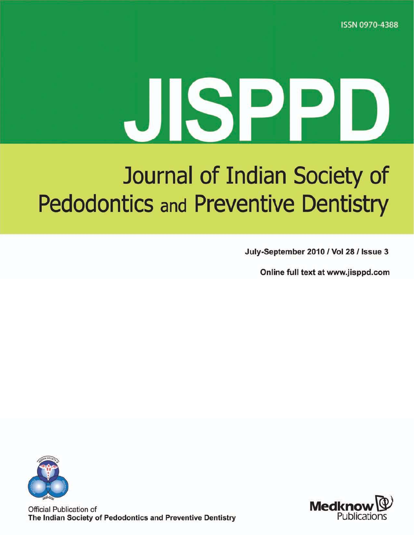**ISSN 0970-4388** 

# JISPPI

# Journal of Indian Society of **Pedodontics and Preventive Dentistry**

July-September 2010 / Vol 28 / Issue 3

Online full text at www.jisppd.com



Official Publication of The Indian Society of Pedodontics and Preventive Dentistry

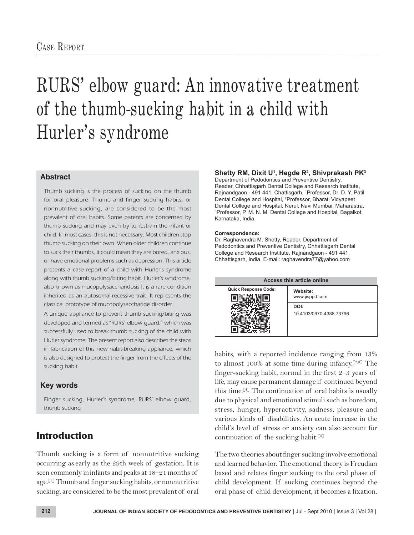# RURS' elbow guard: An innovative treatment of the thumb-sucking habit in a child with Hurler's syndrome

#### **Abstract**

Thumb sucking is the process of sucking on the thumb for oral pleasure. Thumb and finger sucking habits, or nonnutritive sucking, are considered to be the most prevalent of oral habits. Some parents are concerned by thumb sucking and may even try to restrain the infant or child. In most cases, this is not necessary. Most children stop thumb sucking on their own. When older children continue to suck their thumbs, it could mean they are bored, anxious, or have emotional problems such as depression. This article presents a case report of a child with Hurler's syndrome along with thumb sucking/biting habit. Hurler's syndrome, also known as mucopolysaccharidosis I, is a rare condition inherited as an autosomal-recessive trait. It represents the classical prototype of mucopolysaccharide disorder.

A unique appliance to prevent thumb sucking/biting was developed and termed as "RURS' elbow guard," which was successfully used to break thumb sucking of the child with Hurler syndrome. The present report also describes the steps in fabrication of this new habit-breaking appliance, which is also designed to protect the finger from the effects of the sucking habit.

#### **Key words**

Finger sucking, Hurler's syndrome, RURS' elbow guard, thumb sucking

# **Introduction**

Thumb sucking is a form of nonnutritive sucking occurring as early as the 29th week of gestation. It is seen commonly ininfants and peaks at 18–21 months of age.<sup>[1]</sup> Thumb and finger sucking habits, or nonnutritive sucking, are considered to be the most prevalent of oral

#### **Shetty RM, Dixit U<sup>1</sup> , Hegde R<sup>2</sup> , Shivprakash PK<sup>3</sup>**

Department of Pedodontics and Preventive Dentistry, Reader, Chhattisgarh Dental College and Research Institute, Rajnandgaon - 491 441, Chattisgarh, <sup>1</sup>Professor, Dr. D. Y. Patil Dental College and Hospital, <sup>2</sup>Professor, Bharati Vidyapeet Dental College and Hospital, Nerul, Navi Mumbai, Maharastra, <sup>3</sup>Professor, P. M. N. M. Dental College and Hospital, Bagalkot, Karnataka, India.

#### **Correspondence:**

Dr. Raghavendra M. Shetty, Reader, Department of Pedodontics and Preventive Dentistry, Chhattisgarh Dental College and Research Institute, Rajnandgaon - 491 441, Chhattisgarh, India. E-mail: raghavendra77@yahoo.com



habits, with a reported incidence ranging from 13% to almost 100% at some time during infancy.<sup>[2,3]</sup> The finger-sucking habit, normal in the first 2–3 years of life, may cause permanent damage if continued beyond this time.<sup>[4]</sup> The continuation of oral habits is usually due to physical and emotional stimuli such as boredom, stress, hunger, hyperactivity, sadness, pleasure and various kinds of disabilities. An acute increase in the child's level of stress or anxiety can also account for continuation of the sucking habit.<sup>[5]</sup>

The two theories about finger sucking involve emotional and learned behavior. The emotional theory is Freudian based and relates finger sucking to the oral phase of child development. If sucking continues beyond the oral phase of child development, it becomes a fixation.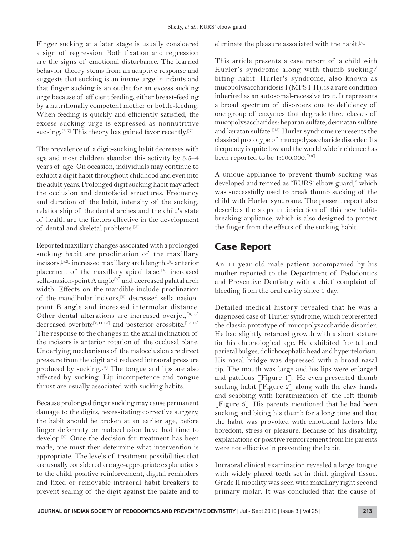Finger sucking at a later stage is usually considered a sign of regression. Both fixation and regression are the signs of emotional disturbance. The learned behavior theory stems from an adaptive response and suggests that sucking is an innate urge in infants and that finger sucking is an outlet for an excess sucking urge because of efficient feeding, either breast-feeding by a nutritionally competent mother or bottle-feeding. When feeding is quickly and efficiently satisfied, the excess sucking urge is expressed as nonnutritive sucking.<sup>[5,6]</sup> This theory has gained favor recently.<sup>[7]</sup>

The prevalence of a digit-sucking habit decreases with age and most children abandon this activity by 3.5–4 years of age. On occasion, individuals may continue to exhibit a digit habit throughout childhood and even into the adult years. Prolonged digit sucking habit may affect the occlusion and dentofacial structures. Frequency and duration of the habit, intensity of the sucking, relationship of the dental arches and the child's state of health are the factors effective in the development of dental and skeletal problems.[5]

Reported maxillary changes associated with a prolonged sucking habit are proclination of the maxillary incisors,[8,9] increased maxillary arch length,[8] anterior placement of the maxillary apical base, $[8]$  increased sella-nasion-point A angle<sup>[9]</sup> and decreased palatal arch width. Effects on the mandible include proclination of the mandibular incisors,[8] decreased sella-nasionpoint B angle and increased intermolar distance. Other dental alterations are increased overjet, [8,10] decreased overbite<sup>[8,11,12]</sup> and posterior crossbite.<sup>[13,14]</sup> The response to the changes in the axial inclination of the incisors is anterior rotation of the occlusal plane. Underlying mechanisms of the malocclusion are direct pressure from the digit and reduced intraoral pressure produced by sucking.[8] The tongue and lips are also affected by sucking. Lip incompetence and tongue thrust are usually associated with sucking habits.

Because prolonged finger sucking may cause permanent damage to the digits, necessitating corrective surgery, the habit should be broken at an earlier age, before finger deformity or malocclusion have had time to develop.[9] Once the decision for treatment has been made, one must then determine what intervention is appropriate. The levels of treatment possibilities that are usually considered are age-appropriate explanations to the child, positive reinforcement, digital reminders and fixed or removable intraoral habit breakers to prevent sealing of the digit against the palate and to

eliminate the pleasure associated with the habit.<sup>[6]</sup>

This article presents a case report of a child with Hurler's syndrome along with thumb sucking/ biting habit. Hurler's syndrome, also known as mucopolysaccharidosis I (MPS I-H), is a rare condition inherited as an autosomal-recessive trait. It represents a broad spectrum of disorders due to deficiency of one group of enzymes that degrade three classes of mucopolysaccharides: heparan sulfate, dermatan sulfate and keratan sulfate.<sup>[15]</sup> Hurler syndrome represents the classical prototype of mucopolysaccharide disorder. Its frequency is quite low and the world wide incidence has been reported to be  $1:100,000$ .<sup>[16]</sup>

A unique appliance to prevent thumb sucking was developed and termed as "RURS' elbow guard," which was successfully used to break thumb sucking of the child with Hurler syndrome. The present report also describes the steps in fabrication of this new habitbreaking appliance, which is also designed to protect the finger from the effects of the sucking habit.

# **Case Report**

An 11-year-old male patient accompanied by his mother reported to the Department of Pedodontics and Preventive Dentistry with a chief complaint of bleeding from the oral cavity since 1 day.

Detailed medical history revealed that he was a diagnosed case of Hurler syndrome, which represented the classic prototype of mucopolysaccharide disorder. He had slightly retarded growth with a short stature for his chronological age. He exhibited frontal and parietal bulges, dolichocephalic head and hypertelorism. His nasal bridge was depressed with a broad nasal tip. The mouth was large and his lips were enlarged and patulous [Figure 1]. He even presented thumb sucking habit [Figure 2] along with the claw hands and scabbing with keratinization of the left thumb [Figure 3]. His parents mentioned that he had been sucking and biting his thumb for a long time and that the habit was provoked with emotional factors like boredom, stress or pleasure. Because of his disability, explanations or positive reinforcement from his parents were not effective in preventing the habit.

Intraoral clinical examination revealed a large tongue with widely placed teeth set in thick gingival tissue. Grade II mobility was seen with maxillary right second primary molar. It was concluded that the cause of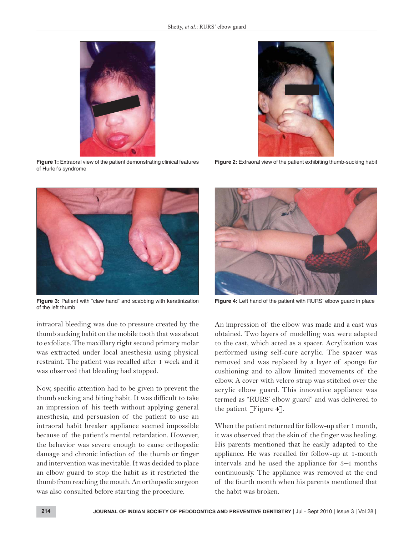

**Figure 1:** Extraoral view of the patient demonstrating clinical features of Hurler's syndrome



**Figure 3:** Patient with "claw hand" and scabbing with keratinization of the left thumb

intraoral bleeding was due to pressure created by the thumb sucking habit on the mobile tooth that was about to exfoliate. The maxillary right second primary molar was extracted under local anesthesia using physical restraint. The patient was recalled after 1 week and it was observed that bleeding had stopped.

Now, specific attention had to be given to prevent the thumb sucking and biting habit. It was difficult to take an impression of his teeth without applying general anesthesia, and persuasion of the patient to use an intraoral habit breaker appliance seemed impossible because of the patient's mental retardation. However, the behavior was severe enough to cause orthopedic damage and chronic infection of the thumb or finger and intervention was inevitable. It was decided to place an elbow guard to stop the habit as it restricted the thumb from reaching the mouth. An orthopedic surgeon was also consulted before starting the procedure.



**Figure 2:** Extraoral view of the patient exhibiting thumb-sucking habit



**Figure 4:** Left hand of the patient with RURS' elbow guard in place

An impression of the elbow was made and a cast was obtained. Two layers of modelling wax were adapted to the cast, which acted as a spacer. Acrylization was performed using self-cure acrylic. The spacer was removed and was replaced by a layer of sponge for cushioning and to allow limited movements of the elbow. A cover with velcro strap was stitched over the acrylic elbow guard. This innovative appliance was termed as "RURS' elbow guard" and was delivered to the patient [Figure 4].

When the patient returned for follow-up after 1 month, it was observed that the skin of the finger was healing. His parents mentioned that he easily adapted to the appliance. He was recalled for follow-up at 1-month intervals and he used the appliance for 3–4 months continuously. The appliance was removed at the end of the fourth month when his parents mentioned that the habit was broken.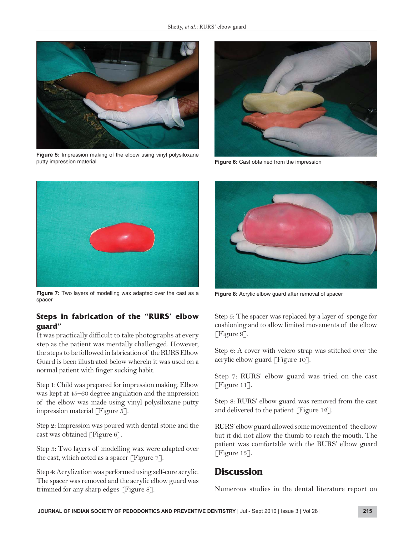

**Figure 5:** Impression making of the elbow using vinyl polysiloxane putty impression material



**Figure 6:** Cast obtained from the impression



**Figure 7:** Two layers of modelling wax adapted over the cast as a spacer

#### **Steps in fabrication of the "RURS' elbow guard"**

It was practically difficult to take photographs at every step as the patient was mentally challenged. However, the steps to be followed in fabrication of the RURS Elbow Guard is been illustrated below wherein it was used on a normal patient with finger sucking habit.

Step 1: Child was prepared for impression making. Elbow was kept at 45–60 degree angulation and the impression of the elbow was made using vinyl polysiloxane putty impression material [Figure 5].

Step 2: Impression was poured with dental stone and the cast was obtained [Figure 6].

Step 3: Two layers of modelling wax were adapted over the cast, which acted as a spacer [Figure 7].

Step 4: Acrylization was performed using self-cure acrylic. The spacer was removed and the acrylic elbow guard was trimmed for any sharp edges [Figure 8].



**Figure 8:** Acrylic elbow guard after removal of spacer

Step 5: The spacer was replaced by a layer of sponge for cushioning and to allow limited movements of the elbow [Figure 9].

Step 6: A cover with velcro strap was stitched over the acrylic elbow guard [Figure 10].

Step 7: RURS' elbow guard was tried on the cast [Figure 11].

Step 8: RURS' elbow guard was removed from the cast and delivered to the patient [Figure 12].

RURS' elbow guard allowed some movement of the elbow but it did not allow the thumb to reach the mouth. The patient was comfortable with the RURS' elbow guard [Figure 13].

## **Discussion**

Numerous studies in the dental literature report on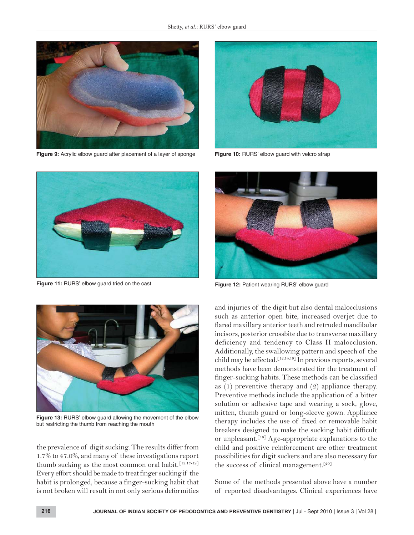

**Figure 9:** Acrylic elbow guard after placement of a layer of sponge



**Figure 10:** RURS' elbow guard with velcro strap



**Figure 11:** RURS' elbow guard tried on the cast



**Figure 13:** RURS' elbow guard allowing the movement of the elbow but restricting the thumb from reaching the mouth

the prevalence of digit sucking. The results differ from 1.7% to 47.0%, and many of these investigations report thumb sucking as the most common oral habit.  $[12,17-19]$ Every effort should be made to treat finger sucking if the habit is prolonged, because a finger-sucking habit that is not broken will result in not only serious deformities



**Figure 12:** Patient wearing RURS' elbow guard

and injuries of the digit but also dental malocclusions such as anterior open bite, increased overjet due to flared maxillary anterior teeth and retruded mandibular incisors, posterior crossbite due to transverse maxillary deficiency and tendency to Class II malocclusion. Additionally, the swallowing pattern and speech of the child may be affected.<sup>[12,14,19]</sup> In previous reports, several methods have been demonstrated for the treatment of finger-sucking habits. These methods can be classified as (1) preventive therapy and (2) appliance therapy. Preventive methods include the application of a bitter solution or adhesive tape and wearing a sock, glove, mitten, thumb guard or long-sleeve gown. Appliance therapy includes the use of fixed or removable habit breakers designed to make the sucking habit difficult or unpleasant.<sup>[18]</sup> Age-appropriate explanations to the child and positive reinforcement are other treatment possibilities for digit suckers and are also necessary for the success of clinical management.<sup>[20]</sup>

Some of the methods presented above have a number of reported disadvantages. Clinical experiences have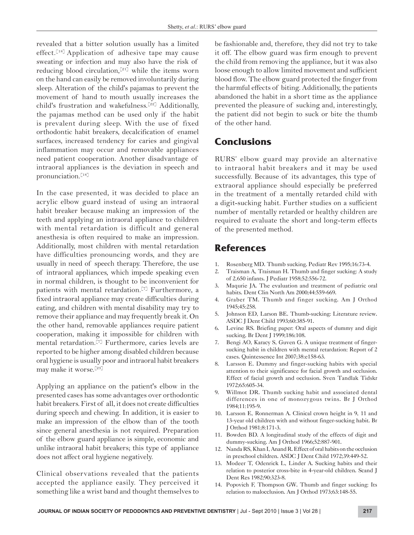revealed that a bitter solution usually has a limited effect.<sup>[18]</sup> Application of adhesive tape may cause sweating or infection and may also have the risk of reducing blood circulation,<sup>[21]</sup> while the items worn on the hand can easily be removed involuntarily during sleep. Alteration of the child's pajamas to prevent the movement of hand to mouth usually increases the child's frustration and wakefulness.[22] Additionally, the pajamas method can be used only if the habit is prevalent during sleep. With the use of fixed orthodontic habit breakers, decalcification of enamel surfaces, increased tendency for caries and gingival inflammation may occur and removable appliances need patient cooperation. Another disadvantage of intraoral appliances is the deviation in speech and pronunciation.[18]

In the case presented, it was decided to place an acrylic elbow guard instead of using an intraoral habit breaker because making an impression of the teeth and applying an intraoral appliance to children with mental retardation is difficult and general anesthesia is often required to make an impression. Additionally, most children with mental retardation have difficulties pronouncing words, and they are usually in need of speech therapy. Therefore, the use of intraoral appliances, which impede speaking even in normal children, is thought to be inconvenient for patients with mental retardation.<sup>[7]</sup> Furthermore, a fixed intraoral appliance may create difficulties during eating, and children with mental disability may try to remove their appliance and may frequently break it. On the other hand, removable appliances require patient cooperation, making it impossible for children with mental retardation.[7] Furthermore, caries levels are reported to be higher among disabled children because oral hygiene is usually poor and intraoral habit breakers may make it worse.[23]

Applying an appliance on the patient's elbow in the presented cases has some advantages over orthodontic habit breakers. First of all, it does not create difficulties during speech and chewing. In addition, it is easier to make an impression of the elbow than of the tooth since general anesthesia is not required. Preparation of the elbow guard appliance is simple, economic and unlike intraoral habit breakers; this type of appliance does not affect oral hygiene negatively.

Clinical observations revealed that the patients accepted the appliance easily. They perceived it something like a wrist band and thought themselves to

be fashionable and, therefore, they did not try to take it off. The elbow guard was firm enough to prevent the child from removing the appliance, but it was also loose enough to allow limited movement and sufficient blood flow. The elbow guard protected the finger from the harmful effects of biting. Additionally, the patients abandoned the habit in a short time as the appliance prevented the pleasure of sucking and, interestingly, the patient did not begin to suck or bite the thumb of the other hand.

## **Conclusions**

RURS' elbow guard may provide an alternative to intraoral habit breakers and it may be used successfully. Because of its advantages, this type of extraoral appliance should especially be preferred in the treatment of a mentally retarded child with a digit-sucking habit. Further studies on a sufficient number of mentally retarded or healthy children are required to evaluate the short and long-term effects of the presented method.

### **References**

- 1. Rosenberg MD. Thumb sucking. Pediatr Rev 1995;16:73-4.
- 2. Traisman A, Traisman H. Thumb and finger sucking: A study of 2,650 infants. J Pediatr 1958;52:556-72.
- 3. Maqurie JA. The evaluation and treatment of pediatric oral habits. Dent Clin North Am 2000;44:559-669.
- 4. Graber TM. Thumb and finger sucking. Am J Orthod 1945;45:258.
- 5. Johnson ED, Larson BE. Thumb-sucking: Literature review. ASDC J Dent Child 1993;60:385-91.
- 6. Levine RS. Briefing paper: Oral aspects of dummy and digit sucking. Br Dent J 1999;186:108.
- 7. Bengi AO, Karacy S, Guven G. A unique treatment of fingersucking habit in children with mental retardation: Report of 2 cases. Quintessence Int 2007;38:e158-63.
- 8. Larsson E. Dummy and finger-sucking habits with special attention to their significance for facial growth and occlusion. Effect of facial growth and occlusion. Sven Tandlak Tidskr 1972;65:605-34.
- 9. Willmot DR. Thumb sucking habit and associated dental differences in one of monozygous twins. Br J Orthod 1984;11:195-9.
- 10. Larsson E, Ronnerman A. Clinical crown height in 9, 11 and 13-year old children with and without finger-sucking habit. Br J Orthod 1981;8:171-3.
- 11. Bowden BD. A longitudinal study of the effects of digit and dummy-sucking. Am J Orthod 1966;52:887-901.
- 12. Nanda RS, Khan I, Anand R. Effect of oral habits on the occlusion in preschool children. ASDC J Dent Child 1972;39:449-52.
- 13. Modeer T, Odenrick L, Linder A. Sucking habits and their relation to posterior cross-bite in 4-year-old children. Scand J Dent Res 1982;90:323-8.
- 14. Popovich F, Thompson GW. Thumb and finger sucking: Its relation to malocclusion. Am J Orthod 1973;63:148-55.